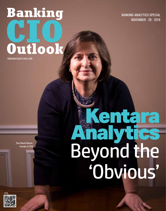# Banking Outlook BANKINGCIOOUTLOOK.COM

BANKING ANALYTICS SPECIAL NOVEMBER - 28 - 2018

Tara Heusé Kenyon, Founder & CEO

Tool for the

## Dominica de la Castro de la Castro de la Castro de la Castro de la Castro de la Castro de la Castro de la Cast Semont Company Tara Heusé Kenyon,<br>Founder & CEO Long Company of the Financial Seconds Unbanked States entara<br>alytics Analytics Beyond the 'Obvious'

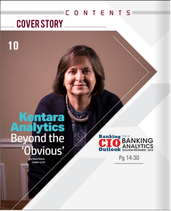## CONTENTS **COVER STORY**

# **Kentara**<br>**Analytics**<br>Beyond the<br>'Obvious'

10

**Banking TOP IO**<br> **BANKING Dutlook** SOLUTION PROVIDERS - 2018

Pg 14-30

ra Heusé Kenyon, Founder & CEO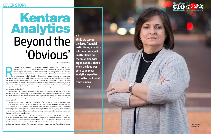# Kentara Analytics Beyond the 'Obvious'

### COVER STORY

egulation. Is it a constraint or a gift on Christmas morning? Tara Heusé Kenyon, Founder and CEO of Kentara Analytics, asks a simple yet profound question pertaining to the panoply of rules for efficient risk management in Founder and CEO of Kentara Analytics, asks a simple yet profound question pertaining to the panoply of rules for efficient risk management in the banking industry. The words "risk management," more often than not, are heard as back-office or constraining "police" function. Consequently, it gets dismissed as a compliance full steam, Kenyon stresses that banks need to challenge that perception. "If we adopt those regulatory regimes as our own best practices and then solidly connect them with strategic plans, operations, marketing strategies, products, and other lines of business, the financial industry gets stronger." She adds, "In essence, best practices inherent in those regulations drive better decisions and increase profitability."

Having worked in the trenches as a Chief Risk Officer at one of the largest 50 banks in the U.S., Kenyon notes the almost visceral response to new regulation is to view it as a constraint. "The attitude is 'oh, I have to do this' when it could be 'Wow, I get to do this!'— by seeing new best practices as the gifts on Christmas morning that they are. By aligning them with their strategic plans and lines of business, banks can leverage best practices for nurturing success and shaping their future," adds Kenyon.

She explains, "When a new regulatory regime or an accounting standard like the IFRS9 is initiated, it is often a well-thought-out response to a near-miss or catastrophe that has already occurred. Regulators and standards boards don't haphazardly make up new rules. Rather, they seek out best practices among the catastrophe survivors. New standards and regimes reflect those best practices."

**While we served the large financial institutions, analytics solutions remained unaffordable for the small financial organizations. That's when the idea was born to gear our analytics expertise to smaller banks and credit unions**

99

 $66$ 

At the core, "Kentara," the Indonesian word for "obvious; right before your eyes," navigates clients in treading the obvious path of best practices with its strategic consulting and analytic services. Kentara stands on the belief that data and analytics are the keys to unlocking the doors to measures—some sophisticated, others simple—that are essential for financial analysis and decision-making. The company mobilizes business analytics for striking a balance

Tara Heusé Kenyon, Founder & CEO



**By Vishnu Santhosh**